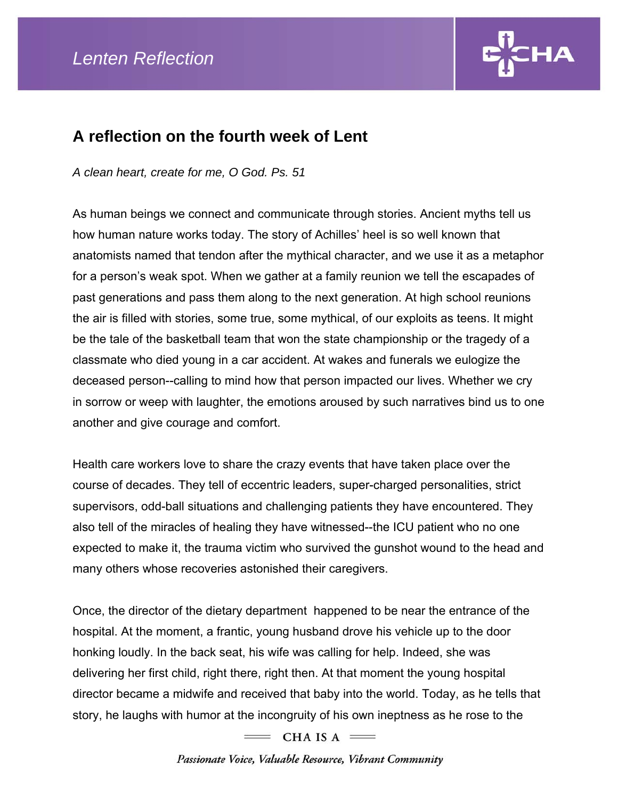

## **A reflection on the fourth week of Lent**

*A clean heart, create for me, O God. Ps. 51* 

As human beings we connect and communicate through stories. Ancient myths tell us how human nature works today. The story of Achilles' heel is so well known that anatomists named that tendon after the mythical character, and we use it as a metaphor for a person's weak spot. When we gather at a family reunion we tell the escapades of past generations and pass them along to the next generation. At high school reunions the air is filled with stories, some true, some mythical, of our exploits as teens. It might be the tale of the basketball team that won the state championship or the tragedy of a classmate who died young in a car accident. At wakes and funerals we eulogize the deceased person--calling to mind how that person impacted our lives. Whether we cry in sorrow or weep with laughter, the emotions aroused by such narratives bind us to one another and give courage and comfort.

Health care workers love to share the crazy events that have taken place over the course of decades. They tell of eccentric leaders, super-charged personalities, strict supervisors, odd-ball situations and challenging patients they have encountered. They also tell of the miracles of healing they have witnessed--the ICU patient who no one expected to make it, the trauma victim who survived the gunshot wound to the head and many others whose recoveries astonished their caregivers.

Once, the director of the dietary department happened to be near the entrance of the hospital. At the moment, a frantic, young husband drove his vehicle up to the door honking loudly. In the back seat, his wife was calling for help. Indeed, she was delivering her first child, right there, right then. At that moment the young hospital director became a midwife and received that baby into the world. Today, as he tells that story, he laughs with humor at the incongruity of his own ineptness as he rose to the

 $=$  CHA IS A  $=$ 

Passionate Voice, Valuable Resource, Vibrant Community